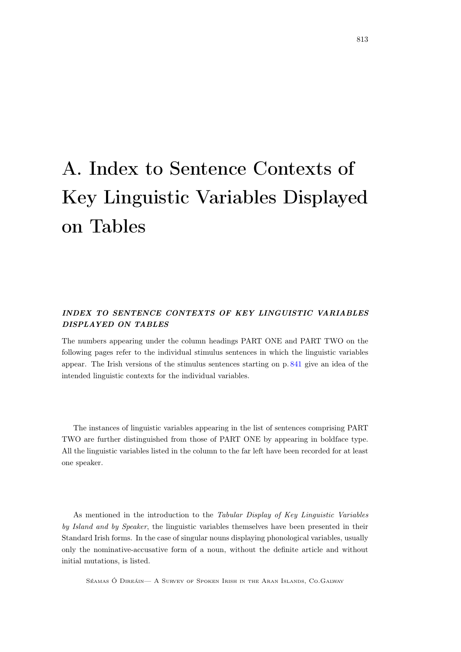# A. Index to Sentence Contexts of Key Linguistic Variables Displayed on Tables

# INDEX TO SENTENCE CONTEXTS OF KEY LINGUISTIC VARIABLES DISPLAYED ON TABLES

The numbers appearing under the column headings PART ONE and PART TWO on the following pages refer to the individual stimulus sentences in which the linguistic variables appear. The Irish versions of the stimulus sentences starting on p. [841](#page--1-0) give an idea of the intended linguistic contexts for the individual variables.

The instances of linguistic variables appearing in the list of sentences comprising PART TWO are further distinguished from those of PART ONE by appearing in boldface type. All the linguistic variables listed in the column to the far left have been recorded for at least one speaker.

As mentioned in the introduction to the Tabular Display of Key Linguistic Variables by Island and by Speaker, the linguistic variables themselves have been presented in their Standard Irish forms. In the case of singular nouns displaying phonological variables, usually only the nominative-accusative form of a noun, without the definite article and without initial mutations, is listed.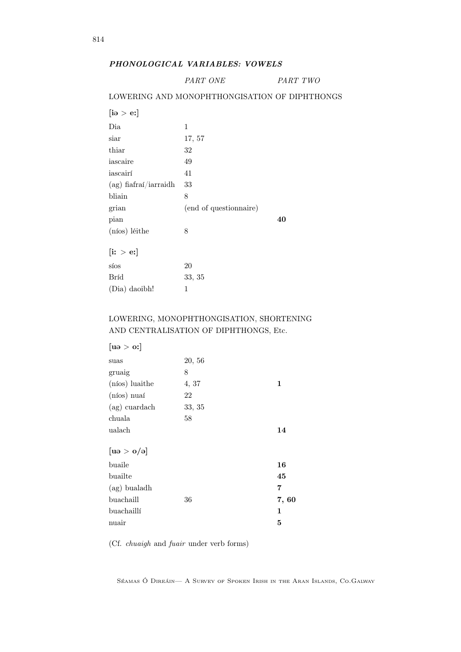# PHONOLOGICAL VARIABLES: VOWELS

PART ONE PART TWO

#### LOWERING AND MONOPHTHONGISATION OF DIPHTHONGS

| $[\mathrm{i}\mathrm{e}\mathrm{>}\mathrm{e}\mathrm{z}]$ |                        |    |
|--------------------------------------------------------|------------------------|----|
| Dia                                                    | 1                      |    |
| $_\mathrm{siar}$                                       | 17, 57                 |    |
| thiar                                                  | 32                     |    |
| iascaire                                               | 49                     |    |
| iascairí                                               | 41                     |    |
| $(ag)$ fiafraí/iarraidh                                | 33                     |    |
| bliain                                                 | 8                      |    |
| grian                                                  | (end of questionnaire) |    |
| pian                                                   |                        | 40 |
| (níos) léithe                                          | 8                      |    |
| $\left[\mathrm{i}: \, > \mathrm{e} \mathrm{i}\right]$  |                        |    |
| síos                                                   | 20                     |    |
| Bríd                                                   | 33, 35                 |    |
| (Dia) daoibh!                                          | 1                      |    |
|                                                        |                        |    |

# LOWERING, MONOPHTHONGISATION, SHORTENING AND CENTRALISATION OF DIPHTHONGS, Etc.

| 20, 56 |      |
|--------|------|
| 8      |      |
| 4, 37  | 1    |
| 22     |      |
| 33, 35 |      |
| 58     |      |
|        | 14   |
|        |      |
|        | 16   |
|        | 45   |
|        | 7    |
| 36     | 7,60 |
|        | 1    |
|        | 5    |
|        |      |

(Cf. chuaigh and fuair under verb forms)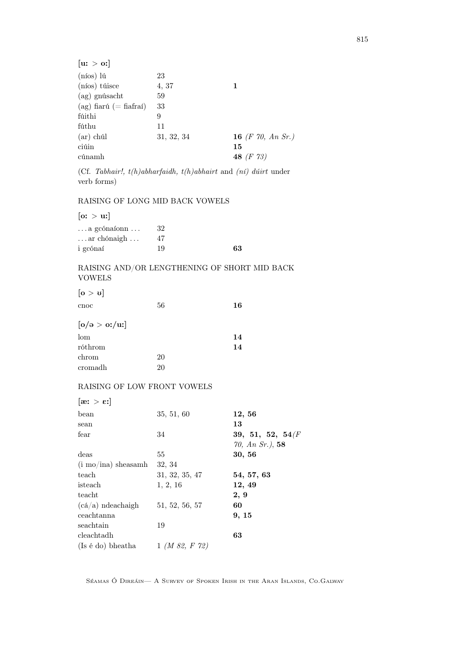| $(nios)$ lú<br>23<br>(níos) túisce<br>4, 37<br>1<br>$(ag)$ gnúsacht<br>59<br>$(ag)$ fiarú $(=\text{fiafra})$<br>33<br>fúithi<br>9<br>fúthu<br>11<br>16 (F 70, An Sr.)<br>$(ar)$ chúl<br>31, 32, 34<br>ciúin<br>15<br>48 $(F 73)$<br>cúnamh | [u: > 0] |  |
|--------------------------------------------------------------------------------------------------------------------------------------------------------------------------------------------------------------------------------------------|----------|--|
|                                                                                                                                                                                                                                            |          |  |
|                                                                                                                                                                                                                                            |          |  |
|                                                                                                                                                                                                                                            |          |  |
|                                                                                                                                                                                                                                            |          |  |
|                                                                                                                                                                                                                                            |          |  |
|                                                                                                                                                                                                                                            |          |  |
|                                                                                                                                                                                                                                            |          |  |
|                                                                                                                                                                                                                                            |          |  |
|                                                                                                                                                                                                                                            |          |  |

(Cf. Tabhair!, t(h)abharfaidh, t(h)abhairt and (ní) dúirt under verb forms)

## RAISING OF LONG MID BACK VOWELS

 $[$ o: > u: $]$ 

| $\dots$ a gcónaíonn $\dots$   | 32 |    |
|-------------------------------|----|----|
| $\ldots$ ar chónaigh $\ldots$ | 47 |    |
| i gcónaí                      | 19 | 63 |

## RAISING AND/OR LENGTHENING OF SHORT MID BACK VOWELS

 $[o > v]$ 

| cnoc                          | 56 | 16 |
|-------------------------------|----|----|
| $\lceil o / \theta > o$ :/uː] |    |    |
| lom                           |    | 14 |
| róthrom                       |    | 14 |
| chrom                         | 20 |    |
| cromadh                       | 20 |    |

## RAISING OF LOW FRONT VOWELS

| $[\mathbf{a} \mathbf{b} \mathbf{c}]$ |                              |                     |
|--------------------------------------|------------------------------|---------------------|
| bean                                 | 35, 51, 60                   | 12, 56              |
| sean                                 |                              | 13                  |
| fear                                 | 34                           | 39, 51, 52, 54 $(F$ |
|                                      |                              | $70, An Sr.$ , 58   |
| deas                                 | 55                           | 30, 56              |
| $(i \mod j)$ sheasamh                | 32, 34                       |                     |
| teach                                | 31, 32, 35, 47               | 54, 57, 63          |
| isteach                              | 1, 2, 16                     | 12, 49              |
| teacht                               |                              | 2, 9                |
| $(cá/a)$ ndeachaigh                  | 51, 52, 56, 57               | 60                  |
| ceachtanna                           |                              | 9, 15               |
| seachtain                            | 19                           |                     |
| cleachtadh                           |                              | 63                  |
| (Is é do) bheatha                    | $1 \; (M \; 82, \; F \; 72)$ |                     |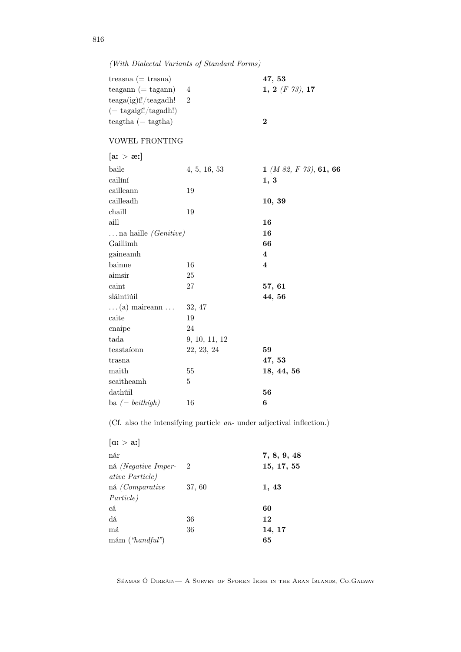(With Dialectal Variants of Standard Forms)

| treasna $(=$ trasna)       |           | 47, 53            |
|----------------------------|-----------|-------------------|
| $teagan ( = tagann)$       |           | $1, 2$ (F 73), 17 |
| $teaga(ig)$ i!/ $teagadh!$ | $\dot{2}$ |                   |
| $(= tagaigf!/tagadh!)$     |           |                   |
| $teagtha (= tagtha)$       |           |                   |

## VOWEL FRONTING

| $[\text{a} \cdot \text{b} \cdot \text{b}]$ |               |                                   |
|--------------------------------------------|---------------|-----------------------------------|
| baile                                      | 4, 5, 16, 53  | $1$ ( <i>M 82, F 73</i> ), 61, 66 |
| cailíní                                    |               | 1, 3                              |
| cailleann                                  | 19            |                                   |
| cailleadh                                  |               | 10, 39                            |
| chaill                                     | 19            |                                   |
| aill                                       |               | 16                                |
| $\ldots$ na haille <i>(Genitive)</i>       |               | 16                                |
| Gaillimh                                   |               | 66                                |
| gaineamh                                   |               | $\overline{\mathbf{4}}$           |
| bainne                                     | 16            | $\overline{\mathbf{4}}$           |
| aimsir                                     | 25            |                                   |
| caint                                      | 27            | 57, 61                            |
| sláintiúil                                 |               | 44, 56                            |
| $\dots(a)$ maireann $\dots$                | 32, 47        |                                   |
| caite                                      | 19            |                                   |
| cnaipe                                     | 24            |                                   |
| tada                                       | 9, 10, 11, 12 |                                   |
| testaíonn                                  | 22, 23, 24    | 59                                |
| trasna                                     |               | 47,53                             |
| maith                                      | 55            | 18, 44, 56                        |
| scaitheamh                                 | 5             |                                   |
| dathúil                                    |               | 56                                |
| ba $(= beithigh)$                          | 16            | 6                                 |

(Cf. also the intensifying particle an- under adjectival inflection.)

| $[\alpha > a]$             |                |             |
|----------------------------|----------------|-------------|
| nár                        |                | 7, 8, 9, 48 |
| ná <i>(Negative Imper-</i> | $\overline{2}$ | 15, 17, 55  |
| <i>ative Particle</i> )    |                |             |
| ná <i>(Comparative</i>     | 37, 60         | 1, 43       |
| Particle)                  |                |             |
| cá                         |                | 60          |
| dá                         | 36             | 12          |
| má                         | 36             | 14, 17      |
| mám ('handful")            |                | 65          |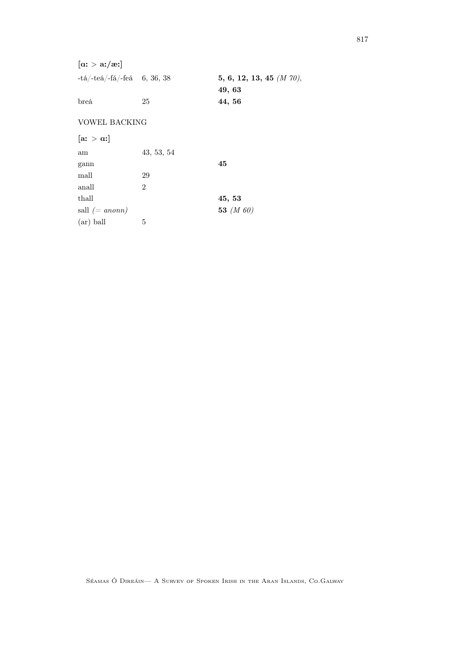| $[\alpha > \alpha / \alpha]$                       |                |                             |
|----------------------------------------------------|----------------|-----------------------------|
| $-ta/\text{-tea}/\text{-fa}/\text{-fea}$ 6, 36, 38 |                | 5, 6, 12, 13, 45 $(M 70)$ , |
|                                                    |                | 49, 63                      |
| breá                                               | 25             | 44, 56                      |
| <b>VOWEL BACKING</b>                               |                |                             |
| $[\mathbf{a} \cdot \mathbf{a}]$                    |                |                             |
| am                                                 | 43, 53, 54     |                             |
| gann                                               |                | 45                          |
| mall                                               | 29             |                             |
| anall                                              | $\overline{2}$ |                             |
| thall                                              |                | 45, 53                      |
| sall $(= a nonn)$                                  |                | 53 $(M 60)$                 |
| $(ar)$ ball                                        | 5              |                             |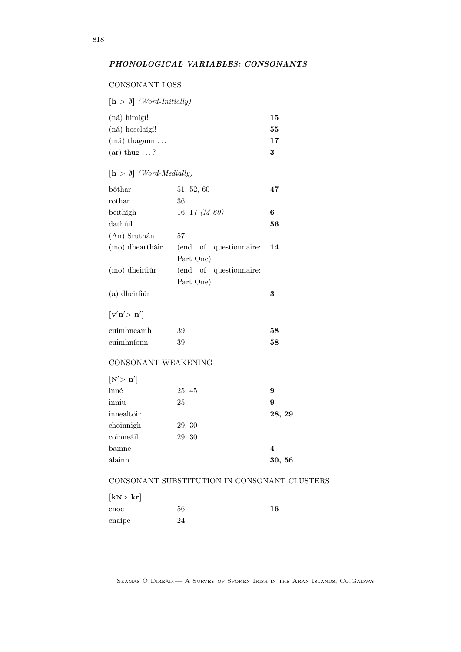#### CONSONANT LOSS

| $[\mathbf{h} > \emptyset]$ (Word-Initially) |    |
|---------------------------------------------|----|
| (ná) himígí!                                | 15 |
| $(ná)$ hosclaígí!                           | 55 |
| (má) thagann                                | 17 |
| $(ar)$ thug ?                               | 3  |

# $[h > \emptyset]$  (Word-Medially)

| bóthar           | 51, 52, 60             | 47 |
|------------------|------------------------|----|
| rothar           | 36                     |    |
| beithigh         | 16, 17 $(M 60)$        | 6  |
| dathúil          |                        | 56 |
| $(An)$ Sruthán   | 57                     |    |
| (mo) dheartháir  | (end of questionnaire: | 14 |
|                  | Part One)              |    |
| $(mo)$ dheirfiúr | (end of questionnaire: |    |
|                  | Part One)              |    |
| $(a)$ dheirfiúr  |                        | 3  |
|                  |                        |    |

#### $\left[\mathbf{v}'\mathbf{n}' > \mathbf{n}'\right]$

| $\operatorname{cuimhneamh}$ | 39 | 58 |
|-----------------------------|----|----|
| cuimhníonn                  | 39 | 58 |

#### CONSONANT WEAKENING

| $\left[\mathrm{N}^{\prime}\right>\mathrm{n}^{\prime}\right]$ |        |        |
|--------------------------------------------------------------|--------|--------|
| inné                                                         | 25, 45 | 9      |
| inniu                                                        | 25     | 9      |
| innealtóir                                                   |        | 28, 29 |
| choinnigh                                                    | 29, 30 |        |
| coinneáil                                                    | 29, 30 |        |
| bainne                                                       |        | 4      |
| álainn                                                       |        | 30, 56 |
|                                                              |        |        |

# CONSONANT SUBSTITUTION IN CONSONANT CLUSTERS

| [kN>kr] |    |    |
|---------|----|----|
| cnoc    | 56 | 16 |
| cnaipe  | 24 |    |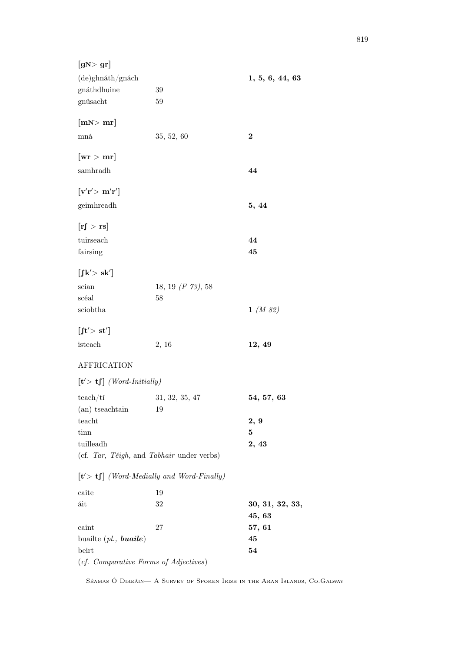| [gN>gr]                                                                                      |                                             |                  |
|----------------------------------------------------------------------------------------------|---------------------------------------------|------------------|
| (de)ghnáth/gnách                                                                             |                                             | 1, 5, 6, 44, 63  |
| gnáthdhuine                                                                                  | 39                                          |                  |
| gnúsacht                                                                                     | 59                                          |                  |
| [mN>mr]                                                                                      |                                             |                  |
| mná                                                                                          | 35, 52, 60                                  | $\bf{2}$         |
| $[{\rm wr} > {\rm mr}]$                                                                      |                                             |                  |
| samhradh                                                                                     |                                             | 44               |
| $\lceil \mathbf{v}'\mathbf{r}' \rangle \ \mathbf{m}'\mathbf{r}' \rceil$                      |                                             |                  |
| geimhreadh                                                                                   |                                             | 5, 44            |
| [rf > rs]                                                                                    |                                             |                  |
| tuirseach                                                                                    |                                             | 44               |
| fairsing                                                                                     |                                             | 45               |
| $\left\lceil \int k' > sk' \right\rceil$                                                     |                                             |                  |
| scian                                                                                        | 18, 19 $(F 73)$ , 58                        |                  |
| scéal                                                                                        | 58                                          |                  |
| sciobtha                                                                                     |                                             | $1 \; (M \; 82)$ |
| $\left[{\rm ft}^{\prime}\rangle\ {\rm st}^{\prime}\right]$                                   |                                             |                  |
| isteach                                                                                      | 2, 16                                       | 12, 49           |
| <b>AFFRICATION</b>                                                                           |                                             |                  |
| $[t' > tf]$ (Word-Initially)                                                                 |                                             |                  |
| teach/ti                                                                                     | 31, 32, 35, 47                              | 54, 57, 63       |
| (an) tseachtain                                                                              | 19                                          |                  |
| teacht                                                                                       |                                             | 2, 9             |
| tinn                                                                                         |                                             | $\bf{5}$         |
| tuilleadh                                                                                    |                                             | 2, 43            |
|                                                                                              | (cf. Tar, Téigh, and Tabhair under verbs)   |                  |
|                                                                                              | $[t' > t]$ (Word-Medially and Word-Finally) |                  |
| caite                                                                                        | 19                                          |                  |
| áit                                                                                          | 32                                          | 30, 31, 32, 33,  |
| caint                                                                                        | 27                                          | 45, 63<br>57, 61 |
| buailte $(pl., \boldsymbol{b} \boldsymbol{u} \boldsymbol{a} \boldsymbol{i} \boldsymbol{le})$ |                                             | 45               |
| beirt                                                                                        |                                             | 54               |
| (cf. Comparative Forms of Adjectives)                                                        |                                             |                  |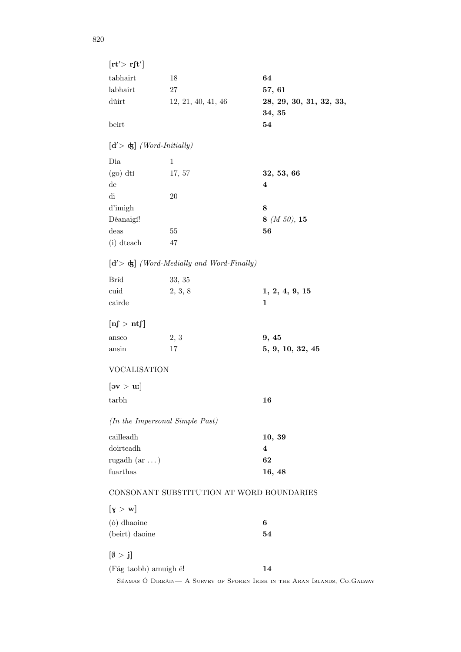| $[\mathrm{rt}'>\mathrm{rft}']$  |                                             |                                                                           |
|---------------------------------|---------------------------------------------|---------------------------------------------------------------------------|
| tabhairt                        | 18                                          | 64                                                                        |
| labhairt                        | 27                                          | 57, 61                                                                    |
| dúirt                           | 12, 21, 40, 41, 46                          | 28, 29, 30, 31, 32, 33,                                                   |
|                                 |                                             | 34, 35                                                                    |
| beirt                           |                                             | 54                                                                        |
| $[d' > d]$ (Word-Initially)     |                                             |                                                                           |
| Dia                             | $\mathbf{1}$                                |                                                                           |
| $(go)$ dtí                      | 17, 57                                      | 32, 53, 66                                                                |
| de                              |                                             | 4                                                                         |
| $\mathrm{d}\mathrm{i}$          | 20                                          |                                                                           |
| d'imigh                         |                                             | 8                                                                         |
| Déanaigí!                       |                                             | 8 $(M 50)$ , 15                                                           |
| deas                            | $55\,$                                      | 56                                                                        |
| (i) dteach                      | 47                                          |                                                                           |
|                                 | $[d' > d]$ (Word-Medially and Word-Finally) |                                                                           |
| <b>Bríd</b>                     | 33, 35                                      |                                                                           |
| cuid                            | 2, 3, 8                                     | 1, 2, 4, 9, 15                                                            |
| cairde                          |                                             | 1                                                                         |
| $[\text{nJ} > \text{ntf}]$      |                                             |                                                                           |
| anseo                           | 2, 3                                        | 9, 45                                                                     |
| ansin                           | 17                                          | 5, 9, 10, 32, 45                                                          |
| <b>VOCALISATION</b>             |                                             |                                                                           |
| $[\text{ev} > \text{u}$ :       |                                             |                                                                           |
| tarbh                           |                                             | 16                                                                        |
| (In the Impersonal Simple Past) |                                             |                                                                           |
| cailleadh                       |                                             | 10, 39                                                                    |
| doirteadh                       |                                             | 4                                                                         |
| rugadh $(ar \dots)$             |                                             | 62                                                                        |
| fuarthas                        |                                             | 16, 48                                                                    |
|                                 | CONSONANT SUBSTITUTION AT WORD BOUNDARIES   |                                                                           |
| $[\mathrm{y} > \mathrm{w}]$     |                                             |                                                                           |
| (ó) dhaoine                     |                                             | 6                                                                         |
| (beirt) daoine                  |                                             | 54                                                                        |
| $[\emptyset > j]$               |                                             |                                                                           |
| (Fág taobh) amuigh é!           |                                             | 14                                                                        |
|                                 |                                             | SÉAMAS Ó DIREÁIN— A SURVEY OF SPOKEN IRISH IN THE ARAN ISLANDS, CO.GALWAY |

820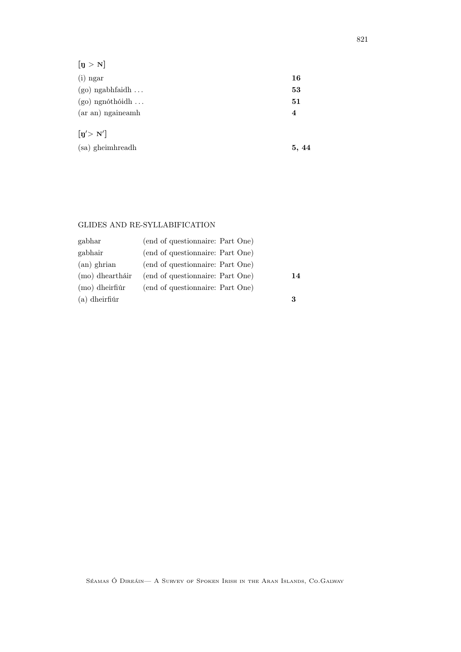| $[\mathbf{\mathfrak{y}}>\mathbf{N}]$   |       |
|----------------------------------------|-------|
| $(i)$ ngar                             | 16    |
| $(go)$ ngabhfaidh                      | 53    |
| $(go)$ ngnóthóidh                      | 51    |
| (ar an) ngaineamh                      | 4     |
| $\left[\mathbf{n}'\right> \mathbf{N}'$ |       |
| (sa) gheimhreadh                       | 5, 44 |

#### GLIDES AND RE-SYLLABIFICATION

| gabhar           | (end of questionnaire: Part One) |    |
|------------------|----------------------------------|----|
| gabhair          | (end of questionnaire: Part One) |    |
| $(an)$ ghrian    | (end of questionnaire: Part One) |    |
| (mo) dheartháir  | (end of questionnaire: Part One) | 14 |
| $(mo)$ dheirfiúr | (end of questionnaire: Part One) |    |
| $(a)$ dheirfiúr  |                                  | 3  |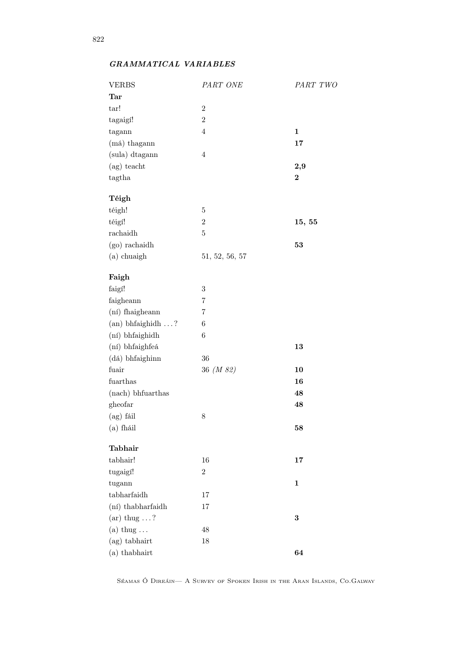# GRAMMATICAL VARIABLES

| <b>VERBS</b>        | PART ONE         | PART TWC         |
|---------------------|------------------|------------------|
| <b>Tar</b>          |                  |                  |
| tar!                | $\overline{2}$   |                  |
| tagaigí!            | $\boldsymbol{2}$ |                  |
| tagann              | $\overline{4}$   | $\mathbf{1}$     |
| (má) thagann        |                  | 17               |
| (sula) dtagann      | $\overline{4}$   |                  |
| $(ag)$ teacht       |                  | 2,9              |
| tagtha              |                  | $\boldsymbol{2}$ |
| Téigh               |                  |                  |
| téigh!              | $\bf 5$          |                  |
| téigí!              | $\,2$            | 15, 55           |
| rachaidh            | $\bf 5$          |                  |
| $(go)$ rachaidh     |                  | 53               |
| (a) chuaigh         | 51, 52, 56, 57   |                  |
|                     |                  |                  |
| Faigh               |                  |                  |
| faigí!              | $\,3$            |                  |
| faigheann           | 7                |                  |
| (ní) fhaigheann     | $\overline{7}$   |                  |
| $(an)$ bhfaighidh ? | $\,6$            |                  |
| (ní) bhfaighidh     | $\,6$            |                  |
| (ní) bhfaighfeá     |                  | 13               |
| (dá) bhfaighinn     | 36               |                  |
| fuair               | 36 (M 82)        | 10               |
| ${\it fuart has}$   |                  | 16               |
| (nach) bhfuarthas   |                  | 48               |
| gheofar             |                  | 48               |
| $(ag)$ fáil         | 8                |                  |
| $(a)$ fháil         |                  | 58               |
| Tabhair             |                  |                  |
| tabhair!            | 16               | 17               |
| tugaigí!            | $\boldsymbol{2}$ |                  |
| tugann              |                  | $\mathbf{1}$     |
| tabharfaidh         | 17               |                  |
| (ní) thabharfaidh   | $17\,$           |                  |
| (ar) thug $\dots$ ? |                  | $\bf{3}$         |
| (a) thug $\dots$    | 48               |                  |
| (ag) tabhairt       | 18               |                  |
| (a) thabhairt       |                  | 64               |
|                     |                  |                  |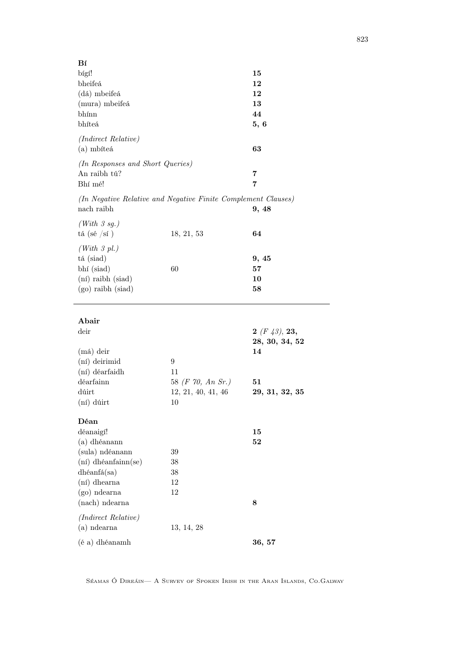| Bí                               |                                                               |                |
|----------------------------------|---------------------------------------------------------------|----------------|
| bígí!                            |                                                               | 15             |
| bheifeá                          |                                                               | 12             |
| (dá) mbeifeá                     |                                                               | 12             |
| (mura) mbeifeá                   |                                                               | 13             |
| bhínn                            |                                                               | 44             |
| bhíteá                           |                                                               | 5, 6           |
| (Indirect Relative)              |                                                               |                |
| (a) mbíteá                       |                                                               | 63             |
|                                  |                                                               |                |
| (In Responses and Short Queries) |                                                               |                |
| An raibh tú?                     |                                                               | 7              |
| Bhí mé!                          |                                                               | 7              |
|                                  | (In Negative Relative and Negative Finite Complement Clauses) |                |
| nach raibh                       |                                                               | 9, 48          |
| (With 3 sg.)                     |                                                               |                |
| tá (sé /sí )                     | 18, 21, 53                                                    | 64             |
| (With 3 pl.)                     |                                                               |                |
| tá (siad)                        |                                                               | 9, 45          |
| bhí (siad)                       | 60                                                            | 57             |
| (ní) raibh (siad)                |                                                               | 10             |
| $(go)$ raibh $(siad)$            |                                                               | 58             |
|                                  |                                                               |                |
|                                  |                                                               |                |
| Abair                            |                                                               |                |
| deir                             |                                                               | 2(F43), 23,    |
|                                  |                                                               | 28, 30, 34, 52 |
| $(má)$ deir                      |                                                               | 14             |
| (ní) deirimid                    | 9                                                             |                |
| (ní) déarfaidh                   | 11                                                            |                |
| déarfainn                        | 58 (F 70, An Sr.)                                             | 51             |
| dúirt                            | 12, 21, 40, 41, 46                                            | 29, 31, 32, 35 |
| (ní) dúirt                       | 10                                                            |                |
| Déan                             |                                                               |                |
| déanaigí!                        |                                                               | 15             |
| (a) dhéanann                     |                                                               | 52             |
| (sula) ndéanann                  | 39                                                            |                |
| $(ni)$ dhéanfainn $(se)$         | 38                                                            |                |
| dhéanfá(sa)                      | 38                                                            |                |
| (ní) dhearna                     | 12                                                            |                |
| $(go)$ ndearna                   | 12                                                            |                |
| (nach) ndearna                   |                                                               | 8              |
|                                  |                                                               |                |
| (Indirect Relative)              |                                                               |                |
| $(a)$ ndearna                    | 13, 14, 28                                                    |                |
| (é a) dhéanamh                   |                                                               | 36, 57         |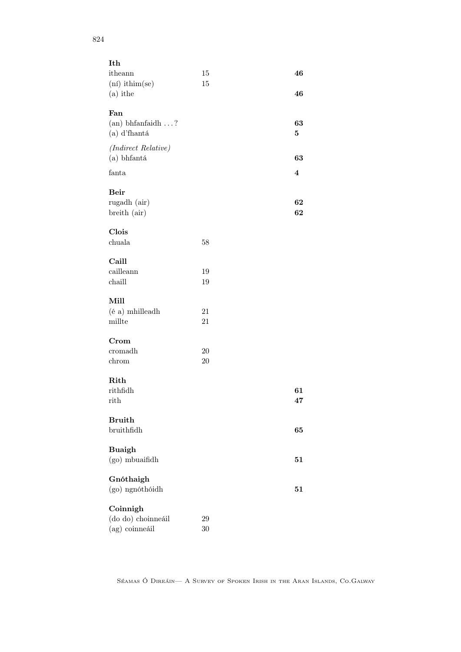| Ith                 |        |                         |
|---------------------|--------|-------------------------|
| itheann             | $15\,$ | 46                      |
| $(ni)$ ithim(se)    | 15     |                         |
| $(a)$ ithe          |        | 46                      |
|                     |        |                         |
| Fan                 |        |                         |
| (an) bhfanfaidh?    |        | 63                      |
| (a) d'fhantá        |        | 5                       |
|                     |        |                         |
| (Indirect Relative) |        |                         |
| (a) bhfantá         |        | 63                      |
| fanta               |        | $\overline{\mathbf{4}}$ |
|                     |        |                         |
| <b>Beir</b>         |        |                         |
|                     |        | 62                      |
| rugadh (air)        |        |                         |
| breith (air)        |        | 62                      |
|                     |        |                         |
| Clois               |        |                         |
| chuala              | 58     |                         |
|                     |        |                         |
| Caill               |        |                         |
| cailleann           | 19     |                         |
| chaill              | 19     |                         |
|                     |        |                         |
| Mill                |        |                         |
| (é a) mhilleadh     | 21     |                         |
| millte              | 21     |                         |
|                     |        |                         |
| Crom                |        |                         |
| cromadh             | 20     |                         |
| chrom               | 20     |                         |
|                     |        |                         |
| Rith                |        |                         |
| rithfidh            |        | 61                      |
| rith                |        | 47                      |
|                     |        |                         |
| <b>Bruith</b>       |        |                         |
| bruithfidh          |        | 65                      |
|                     |        |                         |
| <b>Buaigh</b>       |        |                         |
| (go) mbuaifidh      |        | 51                      |
|                     |        |                         |
| Gnóthaigh           |        |                         |
| (go) ngnóthóidh     |        | 51                      |
|                     |        |                         |
| Coinnigh            |        |                         |
| (do do) choinneáil  | 29     |                         |
| (ag) coinneáil      | 30     |                         |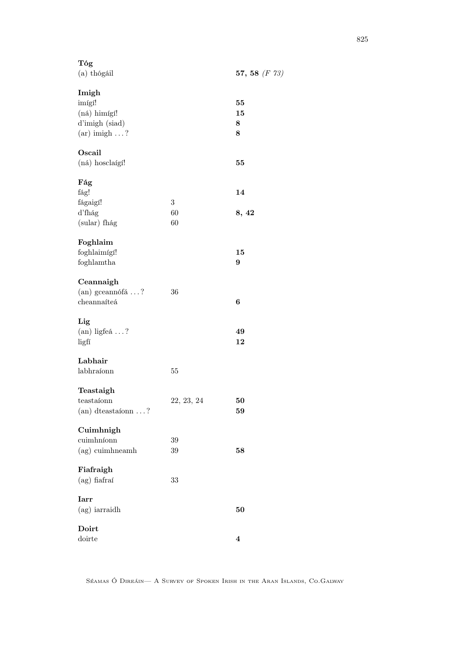| Tóg<br>$(a)$ thógáil          |            | 57, 58 $(F 73)$  |
|-------------------------------|------------|------------------|
| Imigh                         |            |                  |
| imígí!                        |            | 55               |
| (ná) himígí!                  |            | 15               |
| d'imigh (siad)                |            | 8                |
| $(ar)$ imigh ?                |            | 8                |
| Oscail                        |            |                  |
| (ná) hosclaígí!               |            | 55               |
| Fág                           |            |                  |
| fág!                          |            | 14               |
| fágaigí!                      | 3          |                  |
| d'fhág                        | 60         | 8, 42            |
| (sular) fhág                  | 60         |                  |
| Foghlaim                      |            |                  |
| foghlaimígí!                  |            | 15               |
| foghlamtha                    |            | 9                |
| Ceannaigh                     |            |                  |
| (an) gceannófá ?              | 36         |                  |
| cheannaíteá                   |            | $\boldsymbol{6}$ |
| Lig                           |            |                  |
| $(an)$ ligfeá ?               |            | 49               |
| ligfí                         |            | 12               |
| Labhair                       |            |                  |
| labhraíonn                    | $55\,$     |                  |
| Teastaigh                     |            |                  |
| teastaíonn                    | 22, 23, 24 | 50               |
| $(an)$ dteastaíonn $\ldots$ ? |            | 59               |
| Cuimhnigh                     |            |                  |
| cuimhníonn                    | 39         |                  |
| (ag) cuimhneamh               | $39\,$     | 58               |
| Fiafraigh                     |            |                  |
| $(ag)$ fiafraí                | 33         |                  |
| <b>Iarr</b>                   |            |                  |
| (ag) iarraidh                 |            | 50               |
| Doirt                         |            |                  |
| doirte                        |            | 4                |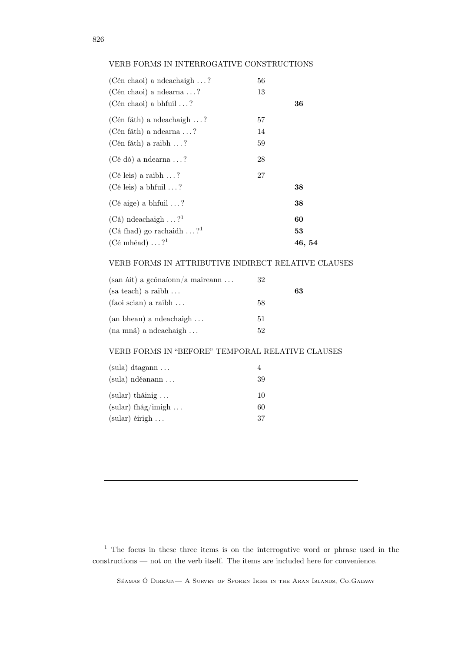## VERB FORMS IN INTERROGATIVE CONSTRUCTIONS

| (Cén chaoi) a ndeachaigh $\dots$ ? | 56 |        |
|------------------------------------|----|--------|
| (Cén chaoi) a ndearna $\dots$ ?    | 13 |        |
| (Cén chaoi) a bhfuil $\dots$ ?     |    | 36     |
| (Cén fáth) a ndeachaigh $\dots$ ?  | 57 |        |
| (Cén fáth) a ndearna $\dots$ ?     | 14 |        |
| (Cén fáth) a raibh $\ldots$ ?      | 59 |        |
| $(Cé dó)$ a ndearna ?              | 28 |        |
| (Cé leis) a raibh $\ldots$ ?       | 27 |        |
| $(Cé leis)$ a bhfuil ?             |    | 38     |
| (Cé aige) a bhfuil $\ldots$ ?      |    | 38     |
| $(Ca)$ ndeachaigh ? <sup>1</sup>   |    | 60     |
| (Cá fhad) go rachaidh $\dots$ ?    |    | 53     |
| (Cé mhéad) $\dots$ ? <sup>1</sup>  |    | 46, 54 |

#### VERB FORMS IN ATTRIBUTIVE INDIRECT RELATIVE CLAUSES

| $(\text{san áit})$ a gcónaíonn/a maireann | 32 |    |
|-------------------------------------------|----|----|
| $(sa teach)$ a raibh $\dots$              |    | 63 |
| $(faoi scian)$ a raibh $\dots$            | 58 |    |
| $(an \, bhean)$ a ndeachaigh $\dots$      | 51 |    |
| (na mná) a ndeachaigh                     | 52 |    |

## VERB FORMS IN "BEFORE" TEMPORAL RELATIVE CLAUSES

| $(sula)$ dtagann $\dots$ |    |
|--------------------------|----|
| $(sula)$ ndéanann        | 39 |
| $(sular)$ tháinig        | 10 |
| (sular) fhág/imigh       | 60 |
| $(sular)$ éirigh         | 37 |

<sup>1</sup> The focus in these three items is on the interrogative word or phrase used in the constructions — not on the verb itself. The items are included here for convenience.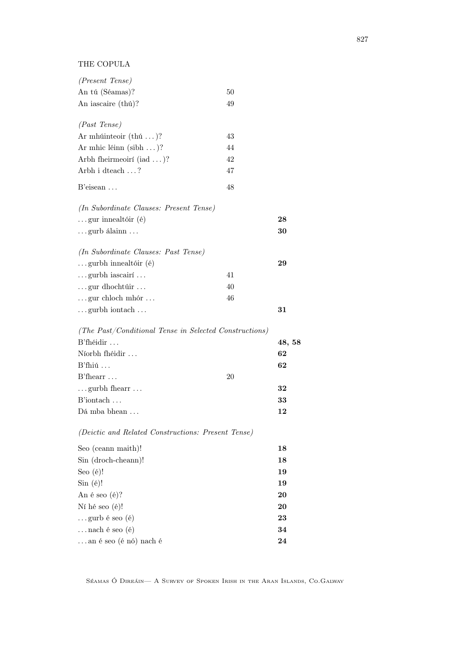THE COPULA

| (Present Tense)                                        |    |        |
|--------------------------------------------------------|----|--------|
| An tú (Séamas)?                                        | 50 |        |
| An iascaire (thú)?                                     | 49 |        |
| (Past~Tense)                                           |    |        |
| Ar mhúinteoir $(thú)?$                                 | 43 |        |
| Ar mhic léinn $(\text{sibh} \dots)$ ?                  | 44 |        |
| Arbh fheirmeoirí $(iad \dots)$ ?                       | 42 |        |
| Arbh i dteach ?                                        | 47 |        |
| $B$ 'eisean $\ldots$                                   | 48 |        |
|                                                        |    |        |
| (In Subordinate Clauses: Present Tense)                |    |        |
| $\ldots$ gur innealtóir (é)                            |    | 28     |
| $\ldots$ gurb álainn $\ldots$                          |    | 30     |
| (In Subordinate Clauses: Past Tense)                   |    |        |
| $\ldots$ gurbh innealtóir (é)                          |    | 29     |
| $\ldots$ gurbh iascairí $\ldots$                       | 41 |        |
| $\ldots$ gur dhochtúir $\ldots$                        | 40 |        |
| $\ldots$ gur chloch mhór $\ldots$                      | 46 |        |
| $\dots$ gurbh iontach $\dots$                          |    | 31     |
| (The Past/Conditional Tense in Selected Constructions) |    |        |
| $B'$ fhéidir $\ldots$                                  |    | 48, 58 |
| Níorbh fhéidir                                         |    | 62     |
| $B'fhi$ ú                                              |    | 62     |
| $B'$ fhearr $\dots$                                    | 20 |        |
| $\dots$ gurbh fhearr $\dots$                           |    | 32     |
| B'iontach                                              |    | 33     |
| Dá mba bhean                                           |    | 12     |
| (Deictic and Related Constructions: Present Tense)     |    |        |
| Seo (ceann maith)!                                     |    | 18     |
| Sin (droch-cheann)!                                    |    | 18     |
| Seo $(e)!$                                             |    | 19     |
| $Sin(\'e)!$                                            |    | 19     |
| An é seo $(e)$ ?                                       |    | 20     |
| Ní hé seo (é)!                                         |    | 20     |
| $\ldots$ gurb é seo (é)                                |    | 23     |
| nach é seo (é)                                         |    | 34     |

...an é seo (é nó) nach é  $\hspace{1cm} 24$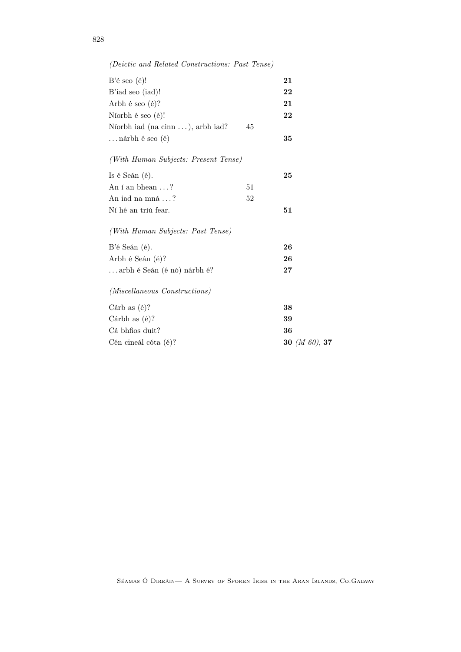| $B'$ é seo $(e)$ !                   |    | 21               |
|--------------------------------------|----|------------------|
| B'iad seo (iad)!                     |    | 22               |
| Arbh é seo $(e)$ ?                   |    | 21               |
| Níorbh é seo (é)!                    |    | 22               |
| Níorbh iad (na cinn ), arbh iad?     | 45 |                  |
| …nárbh é seo (é)                     |    | 35               |
| (With Human Subjects: Present Tense) |    |                  |
| Is é Seán $(e)$ .                    |    | 25               |
| An í an bhean $\dots$ ?              | 51 |                  |
| An iad na mná $\ldots$ ?             | 52 |                  |
| Ní hé an tríú fear.                  |    | 51               |
| (With Human Subjects: Past Tense)    |    |                  |
| B'é Seán (é).                        |    | 26               |
| Arbh é Seán (é)?                     |    | 26               |
| arbh é Seán (é nó) nárbh é?          |    | $27\,$           |
| (Miscellaneous Constructions)        |    |                  |
| Cárb as $(e)$ ?                      |    | 38               |
| Cárbh as $(e)$ ?                     |    | 39               |
| Cá bhfios duit?                      |    | 36               |
| Cén cineál cóta (é)?                 |    | 30 $(M 60)$ , 37 |

(Deictic and Related Constructions: Past Tense)

828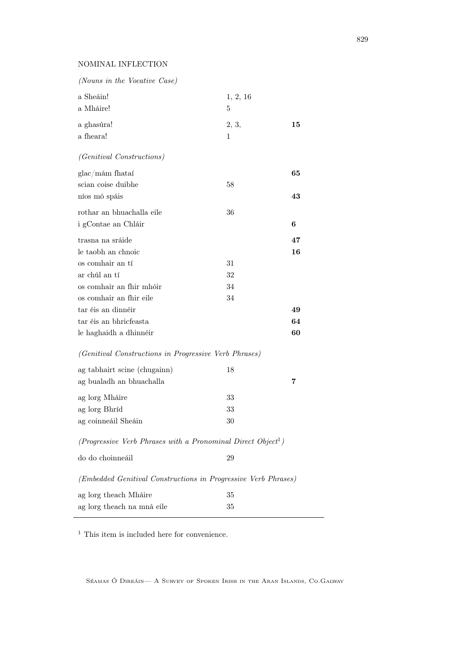## NOMINAL INFLECTION

| (Nouns in the Vocative Case)                                         |          |    |
|----------------------------------------------------------------------|----------|----|
| a Sheáin!                                                            | 1, 2, 16 |    |
| a Mháire!                                                            | 5        |    |
| a ghasúra!                                                           | 2, 3,    | 15 |
| a fheara!                                                            | 1        |    |
| <i>(Genitival Constructions)</i>                                     |          |    |
| glac/mám fhataí                                                      |          | 65 |
| scian coise duibhe                                                   | 58       |    |
| níos mó spáis                                                        |          | 43 |
| rothar an bhuachalla eile                                            | 36       |    |
| i gContae an Chláir                                                  |          | 6  |
| trasna na sráide                                                     |          | 47 |
| le taobh an chnoic                                                   |          | 16 |
| os comhair an tí                                                     | 31       |    |
| ar chúl an tí                                                        | 32       |    |
| os comhair an fhir mhóir                                             | 34       |    |
| os comhair an fhir eile                                              | 34       |    |
| tar éis an dinnéir                                                   |          | 49 |
| tar éis an bhricfeasta                                               |          | 64 |
| le haghaidh a dhinnéir                                               |          | 60 |
| (Genitival Constructions in Progressive Verb Phrases)                |          |    |
| ag tabhairt scine (chugainn)                                         | 18       |    |
| ag bualadh an bhuachalla                                             |          | 7  |
| ag lorg Mháire                                                       | 33       |    |
| ag lorg Bhríd                                                        | 33       |    |
| ag coinneáil Sheáin                                                  | 30       |    |
| $(Propressive\ Verb\ Phrases\ with\ a\ Pronomial\ Direct\ Object^1)$ |          |    |
| do do choinneáil                                                     | 29       |    |
| (Embedded Genitival Constructions in Progressive Verb Phrases)       |          |    |
| ag lorg theach Mháire                                                | 35       |    |
| ag lorg theach na mná eile                                           | 35       |    |
|                                                                      |          |    |

<sup>1</sup> This item is included here for convenience.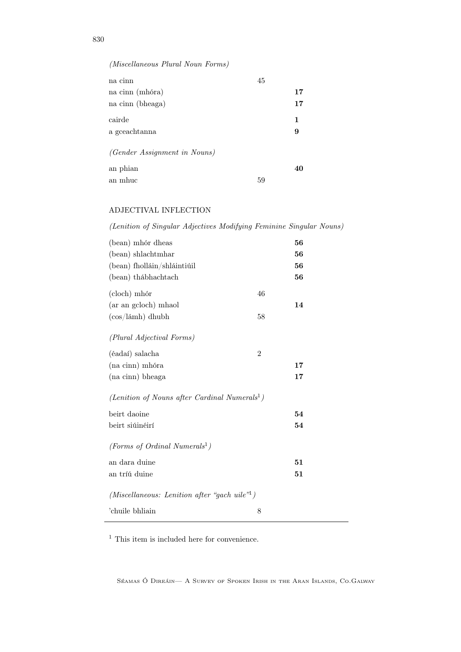# (Miscellaneous Plural Noun Forms)

| na cinn                             | 45 |    |
|-------------------------------------|----|----|
| na cinn (mhóra)                     |    | 17 |
| na cinn (bheaga)                    |    | 17 |
| cairde                              |    | 1  |
| a gceachtanna                       |    | 9  |
| <i>(Gender Assignment in Nouns)</i> |    |    |
| an phian                            |    | 40 |
| an mhuc                             | 59 |    |

## ADJECTIVAL INFLECTION

(Lenition of Singular Adjectives Modifying Feminine Singular Nouns)

| (bean) mhór dheas                                         |                | 56 |
|-----------------------------------------------------------|----------------|----|
| (bean) shlachtmhar                                        |                | 56 |
| (bean) fholláin/shláintiúil                               |                | 56 |
| (bean) thábhachtach                                       |                | 56 |
| (cloch) mhór                                              | 46             |    |
| (ar an gcloch) mhaol                                      |                | 14 |
| $(cos/lámh)$ dhubh                                        | 58             |    |
| (Plural Adjectival Forms)                                 |                |    |
| (éadaí) salacha                                           | $\overline{2}$ |    |
| (na cinn) mhóra                                           |                | 17 |
| (na cinn) bheaga                                          |                | 17 |
| (Lenition of Nouns after Cardinal Numerals <sup>1</sup> ) |                |    |
| beirt daoine                                              |                | 54 |
| beirt siúinéirí                                           |                | 54 |
| (Forms of Ordinal Numerals <sup>1</sup> )                 |                |    |
| an dara duine                                             |                | 51 |
| an tríú duine                                             |                | 51 |
| (Miscellaneous: Lenition after "gach uile" <sup>1</sup> ) |                |    |
| 'chuile bhliain                                           | 8              |    |

 $^{\rm 1}$  This item is included here for convenience.

Séamas Ó Direáin— A Survey of Spoken Irish in the Aran Islands, Co.Galway

830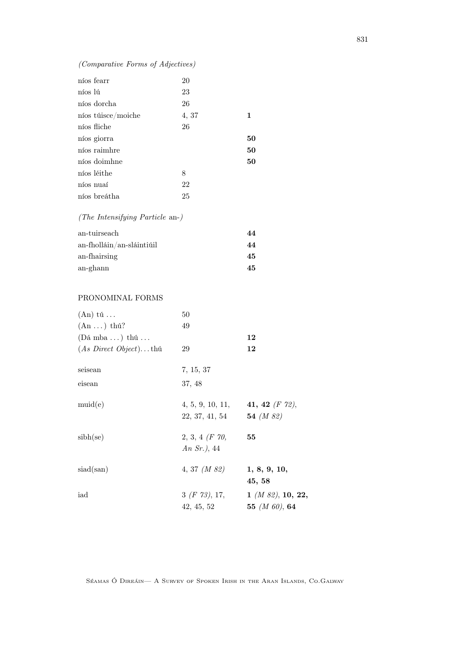## (Comparative Forms of Adjectives)

|         | níos fearr         | 20         |
|---------|--------------------|------------|
| níos lú |                    | 23         |
|         | níos dorcha        | 26         |
|         | níos túisce/moiche | 4, 37<br>1 |
|         | níos fliche        | 26         |
|         | níos giorra        | 50         |
|         | níos raimhre       | 50         |
|         | níos doimhne       | 50         |
|         | níos léithe        | 8          |
|         | níos nuaí          | 22         |
|         | níos breátha       | 25         |
|         |                    |            |

(The Intensifying Particle an-)

| an-tuirseach                 | 44 |
|------------------------------|----|
| $an$ -fholláin/an-sláintiúil | 44 |
| an-fhairsing                 | 45 |
| an-ghann                     | 45 |

#### PRONOMINAL FORMS

| $(An)$ tú                        | 50               |                                    |
|----------------------------------|------------------|------------------------------------|
| $(An \dots)$ thú?                | 49               |                                    |
| $(Dá mba )$ thú                  |                  | 12                                 |
| $(As\ Direct\ Object) \dots$ thú | 29               | 12                                 |
| seisean                          | 7, 15, 37        |                                    |
| eisean                           | 37, 48           |                                    |
| muid(e)                          |                  | 4, 5, 9, 10, 11, 41, 42 $(F 72)$ , |
|                                  | 22, 37, 41, 54   | 54 $(M 82)$                        |
| sibh(se)                         | $2, 3, 4$ (F 70, | 55                                 |
|                                  | An $Sr.$ ), 44   |                                    |
| siad(san)                        | 4, 37 $(M 82)$   | 1, 8, 9, 10,                       |
|                                  |                  | 45,58                              |
| iad                              | 3(f 73), 17,     | $1 \; (M \; 82), \; 10, \; 22,$    |
|                                  | 42, 45, 52       | 55 ( <i>M 60</i> ), 64             |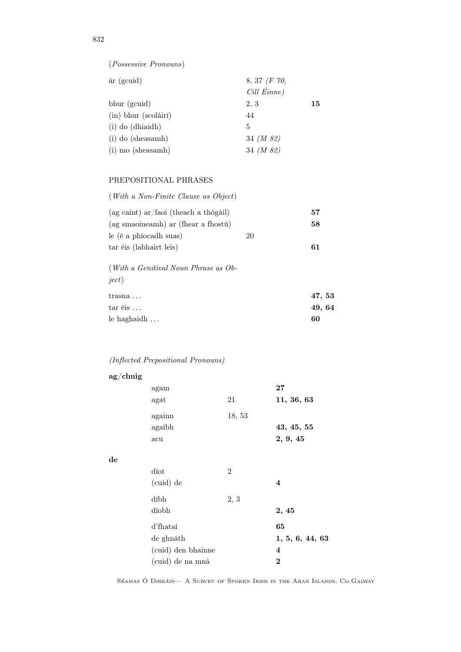| $ar$ (gcuid)             | $8, 37$ (F 70, |    |
|--------------------------|----------------|----|
|                          | Cill Éinne)    |    |
| bhur (gcuid)             | 2, 3           | 15 |
| $(in)$ bhur $(scoláirí)$ | 44             |    |
| $(i)$ do $(dhiaidh)$     | 5              |    |
| $(i)$ do (sheasamh)      | 34 $(M 82)$    |    |
| (i) mo (sheasamh)        | 34 (M 82)      |    |
|                          |                |    |

#### PREPOSITIONAL PHRASES

| $(With \ a \ Non-Finite \ Clauses \ Object)$                  |    |        |
|---------------------------------------------------------------|----|--------|
| (ag caint) ar/faoi (theach a thógáil)                         |    | 57     |
| (ag smaoineamh) ar (fhear a fhostú)                           |    | 58     |
| le (é a phiocadh suas)                                        | 20 |        |
| tar éis (labhairt leis)                                       |    | 61     |
| ( <i>With a Genitival Noun Phrase as Ob-</i><br><i>ject</i> ) |    |        |
| $transna \ldots$                                              |    | 47,53  |
| $\text{tar}$ éis $\ldots$                                     |    | 49, 64 |
| le haghaidh $\dots$                                           |    | 60     |

# (Inflected Prepositional Pronouns)

| $ag/$ chuig |                    |                |                         |
|-------------|--------------------|----------------|-------------------------|
|             | agam               |                | ${\bf 27}$              |
|             | agat               | 21             | 11, 36, 63              |
|             | againn             | 18, 53         |                         |
|             | agaibh             |                | 43, 45, 55              |
|             | acu                |                | 2, 9, 45                |
| $\rm{d}e$   |                    |                |                         |
|             | díot               | $\overline{2}$ |                         |
|             | (cuid) de          |                | $\overline{\mathbf{4}}$ |
|             | díbh               | 2, 3           |                         |
|             | díobh              |                | 2, 45                   |
|             | d'fhataí           |                | 65                      |
|             | de ghnáth          |                | 1, 5, 6, 44, 63         |
|             | (cuid) den bhainne |                | $\overline{\mathbf{4}}$ |
|             | (cuid) de na mná   |                | $\boldsymbol{2}$        |

Séamas Ó Direáin— A Survey of Spoken Irish in the Aran Islands, Co.Galway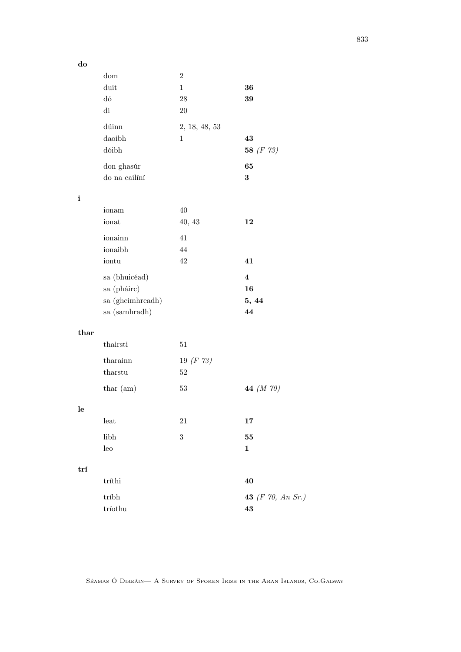do

|              | $\operatorname{dom}$     | $\overline{2}$ |                   |
|--------------|--------------------------|----------------|-------------------|
|              | duit                     | $\mathbf{1}$   | 36                |
|              | ${\rm d} \acute{\rm{o}}$ | $28\,$         | 39                |
|              | di                       | $20\,$         |                   |
|              |                          |                |                   |
|              | dúinn                    | 2, 18, 48, 53  |                   |
|              | daoibh                   | $\mathbf 1$    | 43                |
|              | dóibh                    |                | 58 $(F 73)$       |
|              | don ghasúr               |                | 65                |
|              |                          |                |                   |
|              | do na cailíní            |                | $\bf{3}$          |
|              |                          |                |                   |
| $\mathbf{i}$ |                          |                |                   |
|              | ionam                    | 40             |                   |
|              | ionat                    | 40, 43         | 12                |
|              | ionainn                  | 41             |                   |
|              | ionaibh                  | 44             |                   |
|              | iontu                    | 42             | 41                |
|              |                          |                |                   |
|              | sa (bhuicéad)            |                | $\bf{4}$          |
|              | sa (pháirc)              |                | 16                |
|              | sa (gheimhreadh)         |                | 5, 44             |
|              | sa (samhradh)            |                | 44                |
|              |                          |                |                   |
| thar         |                          |                |                   |
|              | thairsti                 | $51\,$         |                   |
|              |                          |                |                   |
|              | tharainn                 | 19 $(F 73)$    |                   |
|              | tharstu                  | $52\,$         |                   |
|              | thar (am)                | $53\,$         | 44 (M 70)         |
|              |                          |                |                   |
| le           |                          |                |                   |
|              | leat                     | 21             | 17                |
|              |                          |                |                   |
|              | libh                     | $\,3$          | 55                |
|              | leo                      |                | $\mathbf{1}$      |
|              |                          |                |                   |
| trí          |                          |                |                   |
|              | $\operatorname{trithi}$  |                | 40                |
|              | tríbh                    |                | 43 (F 70, An Sr.) |
|              |                          |                |                   |
|              | tríothu                  |                | 43                |

Séamas Ó Direáin— A Survey of Spoken Irish in the Aran Islands, Co.Galway